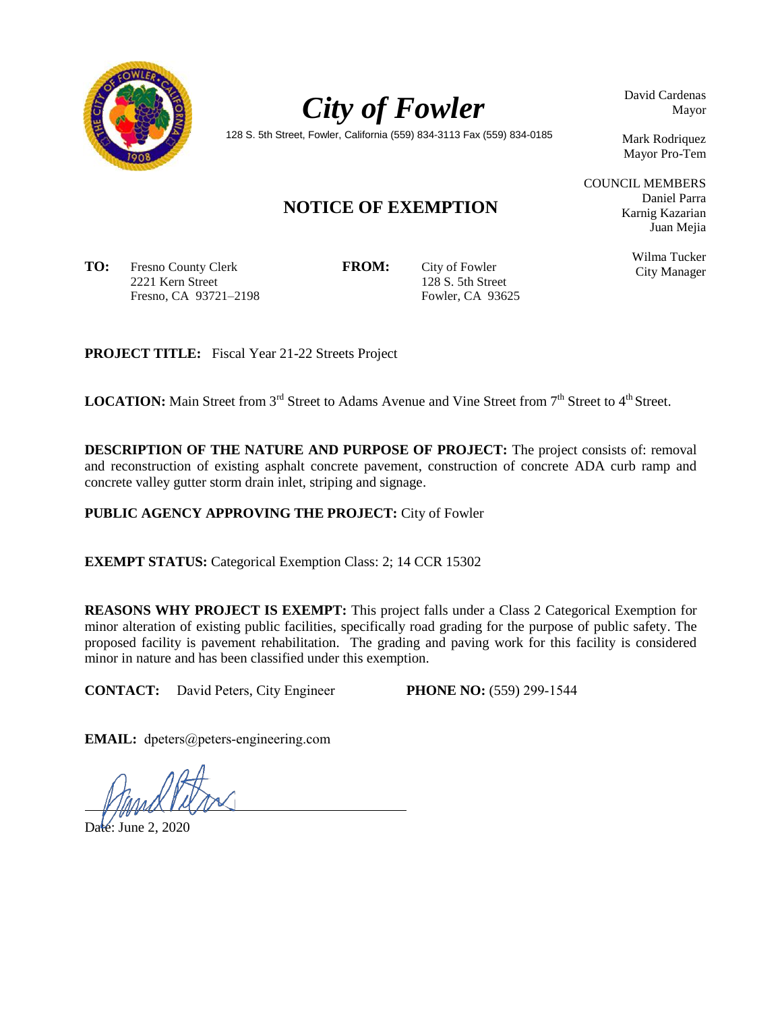



David Cardenas Mayor

128 S. 5th Street, Fowler, California (559) 834-3113 Fax (559) 834-0185

Mark Rodriquez Mayor Pro-Tem

Daniel Parra Karnig Kazarian Juan Mejia

> Wilma Tucker City Manager

COUNCIL MEMBERS

# **NOTICE OF EXEMPTION**

**TO:** Fresno County Clerk 2221 Kern Street Fresno, CA 93721–2198

**FROM:** City of Fowler 128 S. 5th Street Fowler, CA 93625

**PROJECT TITLE:** Fiscal Year 21-22 Streets Project

**LOCATION:** Main Street from 3<sup>rd</sup> Street to Adams Avenue and Vine Street from 7<sup>th</sup> Street to 4<sup>th</sup> Street.

**DESCRIPTION OF THE NATURE AND PURPOSE OF PROJECT:** The project consists of: removal and reconstruction of existing asphalt concrete pavement, construction of concrete ADA curb ramp and concrete valley gutter storm drain inlet, striping and signage.

**PUBLIC AGENCY APPROVING THE PROJECT:** City of Fowler

**EXEMPT STATUS:** Categorical Exemption Class: 2; 14 CCR 15302

**REASONS WHY PROJECT IS EXEMPT:** This project falls under a Class 2 Categorical Exemption for minor alteration of existing public facilities, specifically road grading for the purpose of public safety. The proposed facility is pavement rehabilitation. The grading and paving work for this facility is considered minor in nature and has been classified under this exemption.

**CONTACT:** David Peters, City Engineer **PHONE NO:** (559) 299-1544

**EMAIL:** dpeters@peters-engineering.com

Date: June 2, 2020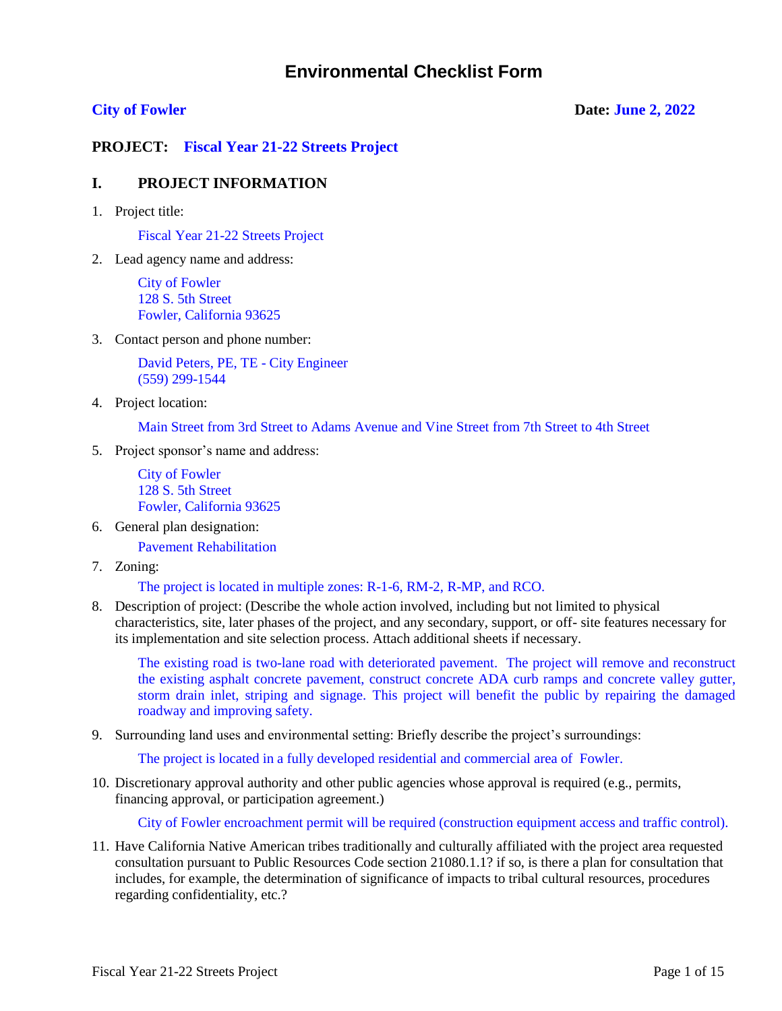# **Environmental Checklist Form**

## **City of Fowler Date: June 2, 2022**

**PROJECT: Fiscal Year 21-22 Streets Project**

## **I. PROJECT INFORMATION**

1. Project title:

Fiscal Year 21-22 Streets Project

2. Lead agency name and address:

City of Fowler 128 S. 5th Street Fowler, California 93625

3. Contact person and phone number:

David Peters, PE, TE - City Engineer (559) 299-1544

4. Project location:

Main Street from 3rd Street to Adams Avenue and Vine Street from 7th Street to 4th Street

5. Project sponsor's name and address:

City of Fowler 128 S. 5th Street Fowler, California 93625

6. General plan designation:

Pavement Rehabilitation

7. Zoning:

The project is located in multiple zones: R-1-6, RM-2, R-MP, and RCO.

8. Description of project: (Describe the whole action involved, including but not limited to physical characteristics, site, later phases of the project, and any secondary, support, or off- site features necessary for its implementation and site selection process. Attach additional sheets if necessary.

The existing road is two-lane road with deteriorated pavement. The project will remove and reconstruct the existing asphalt concrete pavement, construct concrete ADA curb ramps and concrete valley gutter, storm drain inlet, striping and signage. This project will benefit the public by repairing the damaged roadway and improving safety.

9. Surrounding land uses and environmental setting: Briefly describe the project's surroundings:

The project is located in a fully developed residential and commercial area of Fowler.

10. Discretionary approval authority and other public agencies whose approval is required (e.g., permits, financing approval, or participation agreement.)

City of Fowler encroachment permit will be required (construction equipment access and traffic control).

11. Have California Native American tribes traditionally and culturally affiliated with the project area requested consultation pursuant to Public Resources Code section 21080.1.1? if so, is there a plan for consultation that includes, for example, the determination of significance of impacts to tribal cultural resources, procedures regarding confidentiality, etc.?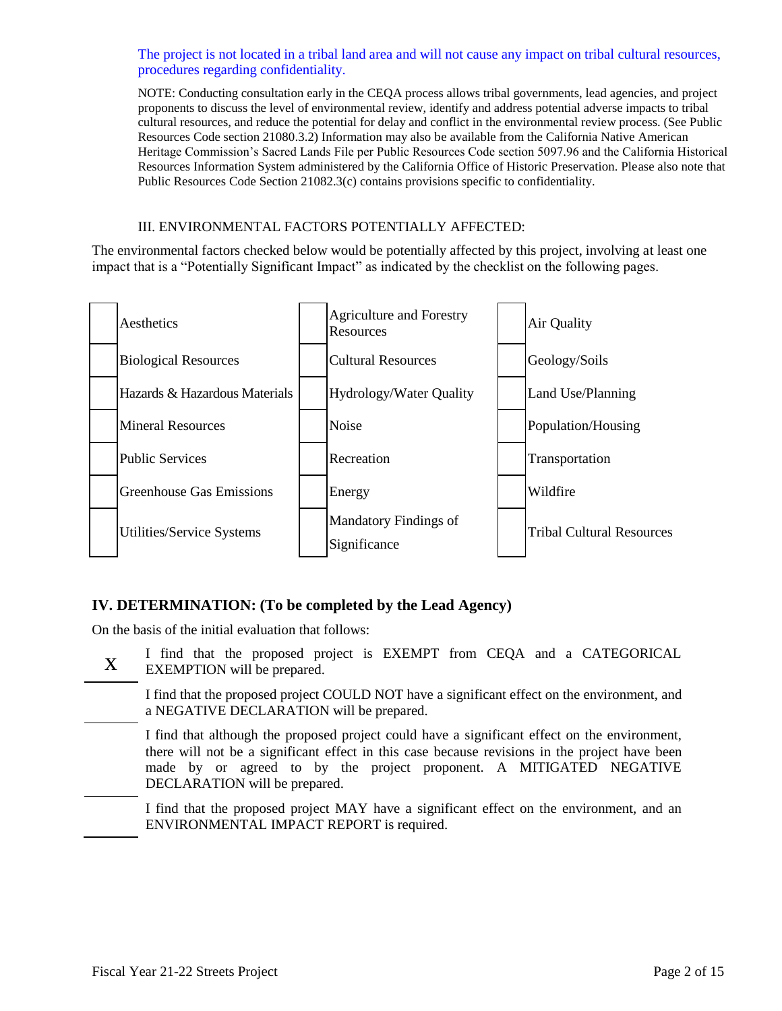The project is not located in a tribal land area and will not cause any impact on tribal cultural resources, procedures regarding confidentiality.

NOTE: Conducting consultation early in the CEQA process allows tribal governments, lead agencies, and project proponents to discuss the level of environmental review, identify and address potential adverse impacts to tribal cultural resources, and reduce the potential for delay and conflict in the environmental review process. (See Public Resources Code section 21080.3.2) Information may also be available from the California Native American Heritage Commission's Sacred Lands File per Public Resources Code section 5097.96 and the California Historical Resources Information System administered by the California Office of Historic Preservation. Please also note that Public Resources Code Section 21082.3(c) contains provisions specific to confidentiality.

## III. ENVIRONMENTAL FACTORS POTENTIALLY AFFECTED:

The environmental factors checked below would be potentially affected by this project, involving at least one impact that is a "Potentially Significant Impact" as indicated by the checklist on the following pages.



## **IV. DETERMINATION: (To be completed by the Lead Agency)**

On the basis of the initial evaluation that follows:

x I find that the proposed project is EXEMPT from CEQA and a CATEGORICAL EXEMPTION will be prepared.

I find that the proposed project COULD NOT have a significant effect on the environment, and a NEGATIVE DECLARATION will be prepared.

I find that although the proposed project could have a significant effect on the environment, there will not be a significant effect in this case because revisions in the project have been made by or agreed to by the project proponent. A MITIGATED NEGATIVE DECLARATION will be prepared.

I find that the proposed project MAY have a significant effect on the environment, and an ENVIRONMENTAL IMPACT REPORT is required.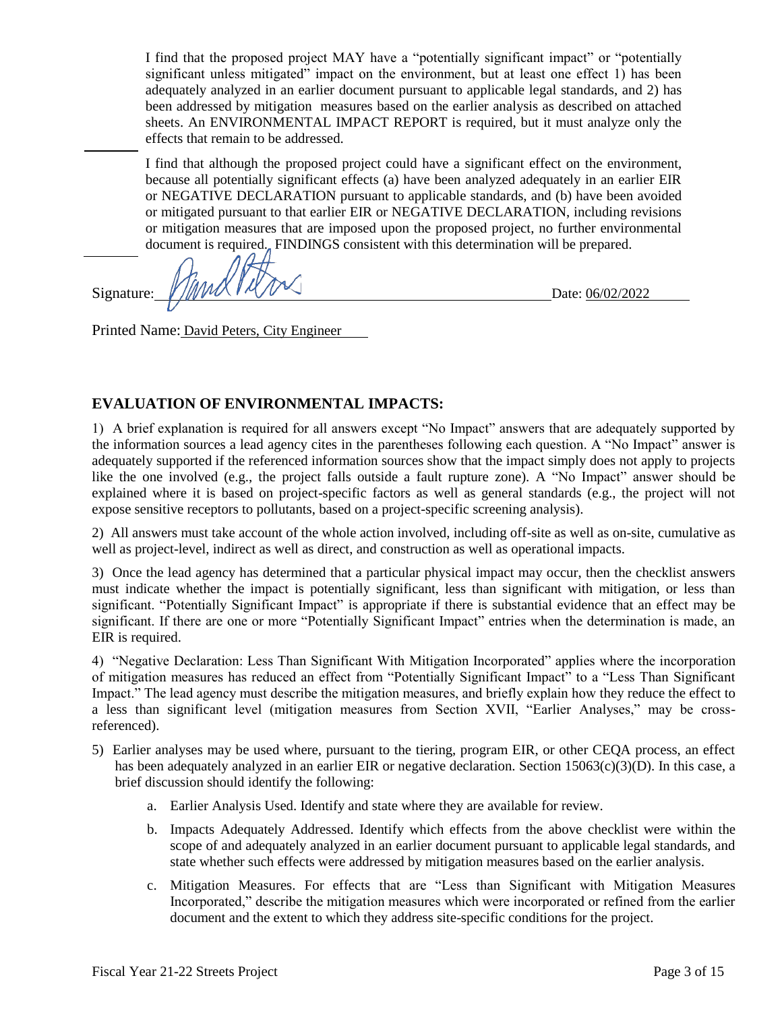I find that the proposed project MAY have a "potentially significant impact" or "potentially significant unless mitigated" impact on the environment, but at least one effect 1) has been adequately analyzed in an earlier document pursuant to applicable legal standards, and 2) has been addressed by mitigation measures based on the earlier analysis as described on attached sheets. An ENVIRONMENTAL IMPACT REPORT is required, but it must analyze only the effects that remain to be addressed.

I find that although the proposed project could have a significant effect on the environment, because all potentially significant effects (a) have been analyzed adequately in an earlier EIR or NEGATIVE DECLARATION pursuant to applicable standards, and (b) have been avoided or mitigated pursuant to that earlier EIR or NEGATIVE DECLARATION, including revisions or mitigation measures that are imposed upon the proposed project, no further environmental document is required. FINDINGS consistent with this determination will be prepared.

Signature:  $\frac{V}{W}$   $\frac{V}{W}$   $\frac{V}{W}$   $\frac{V}{W}$   $\frac{V}{W}$   $\frac{V}{W}$ 

Printed Name: David Peters, City Engineer

## **EVALUATION OF ENVIRONMENTAL IMPACTS:**

1) A brief explanation is required for all answers except "No Impact" answers that are adequately supported by the information sources a lead agency cites in the parentheses following each question. A "No Impact" answer is adequately supported if the referenced information sources show that the impact simply does not apply to projects like the one involved (e.g., the project falls outside a fault rupture zone). A "No Impact" answer should be explained where it is based on project-specific factors as well as general standards (e.g., the project will not expose sensitive receptors to pollutants, based on a project-specific screening analysis).

2) All answers must take account of the whole action involved, including off-site as well as on-site, cumulative as well as project-level, indirect as well as direct, and construction as well as operational impacts.

3) Once the lead agency has determined that a particular physical impact may occur, then the checklist answers must indicate whether the impact is potentially significant, less than significant with mitigation, or less than significant. "Potentially Significant Impact" is appropriate if there is substantial evidence that an effect may be significant. If there are one or more "Potentially Significant Impact" entries when the determination is made, an EIR is required.

4) "Negative Declaration: Less Than Significant With Mitigation Incorporated" applies where the incorporation of mitigation measures has reduced an effect from "Potentially Significant Impact" to a "Less Than Significant Impact." The lead agency must describe the mitigation measures, and briefly explain how they reduce the effect to a less than significant level (mitigation measures from Section XVII, "Earlier Analyses," may be crossreferenced).

- 5) Earlier analyses may be used where, pursuant to the tiering, program EIR, or other CEQA process, an effect has been adequately analyzed in an earlier EIR or negative declaration. Section 15063(c)(3)(D). In this case, a brief discussion should identify the following:
	- a. Earlier Analysis Used. Identify and state where they are available for review.
	- b. Impacts Adequately Addressed. Identify which effects from the above checklist were within the scope of and adequately analyzed in an earlier document pursuant to applicable legal standards, and state whether such effects were addressed by mitigation measures based on the earlier analysis.
	- c. Mitigation Measures. For effects that are "Less than Significant with Mitigation Measures Incorporated," describe the mitigation measures which were incorporated or refined from the earlier document and the extent to which they address site-specific conditions for the project.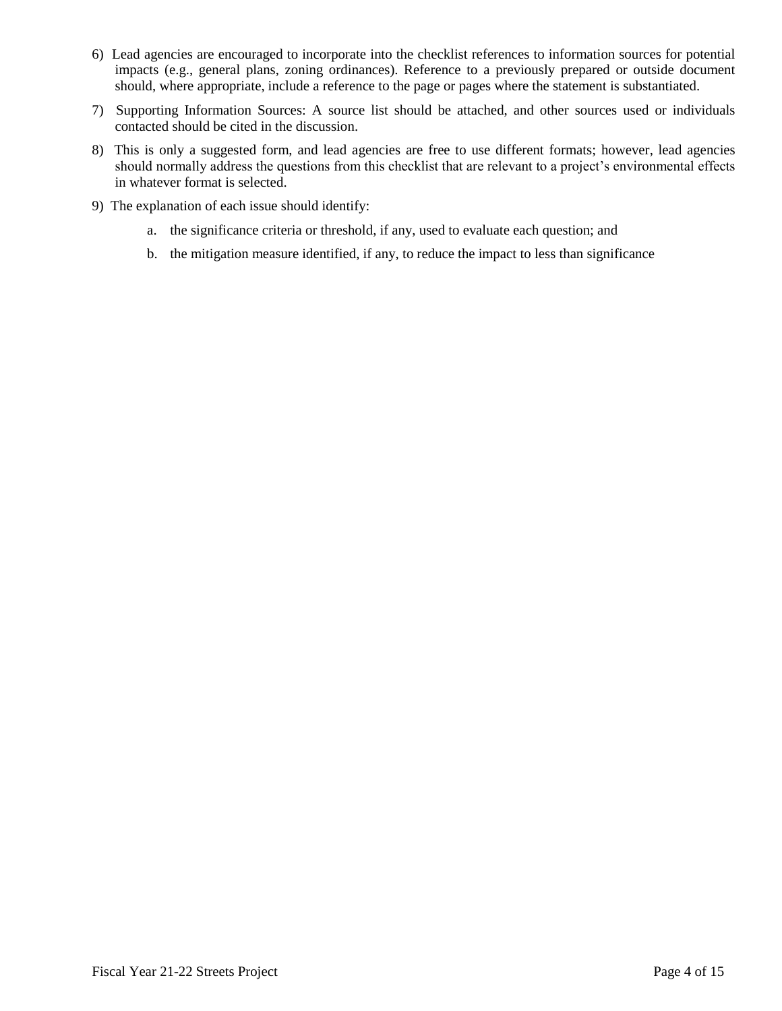- 6) Lead agencies are encouraged to incorporate into the checklist references to information sources for potential impacts (e.g., general plans, zoning ordinances). Reference to a previously prepared or outside document should, where appropriate, include a reference to the page or pages where the statement is substantiated.
- 7) Supporting Information Sources: A source list should be attached, and other sources used or individuals contacted should be cited in the discussion.
- 8) This is only a suggested form, and lead agencies are free to use different formats; however, lead agencies should normally address the questions from this checklist that are relevant to a project's environmental effects in whatever format is selected.
- 9) The explanation of each issue should identify:
	- a. the significance criteria or threshold, if any, used to evaluate each question; and
	- b. the mitigation measure identified, if any, to reduce the impact to less than significance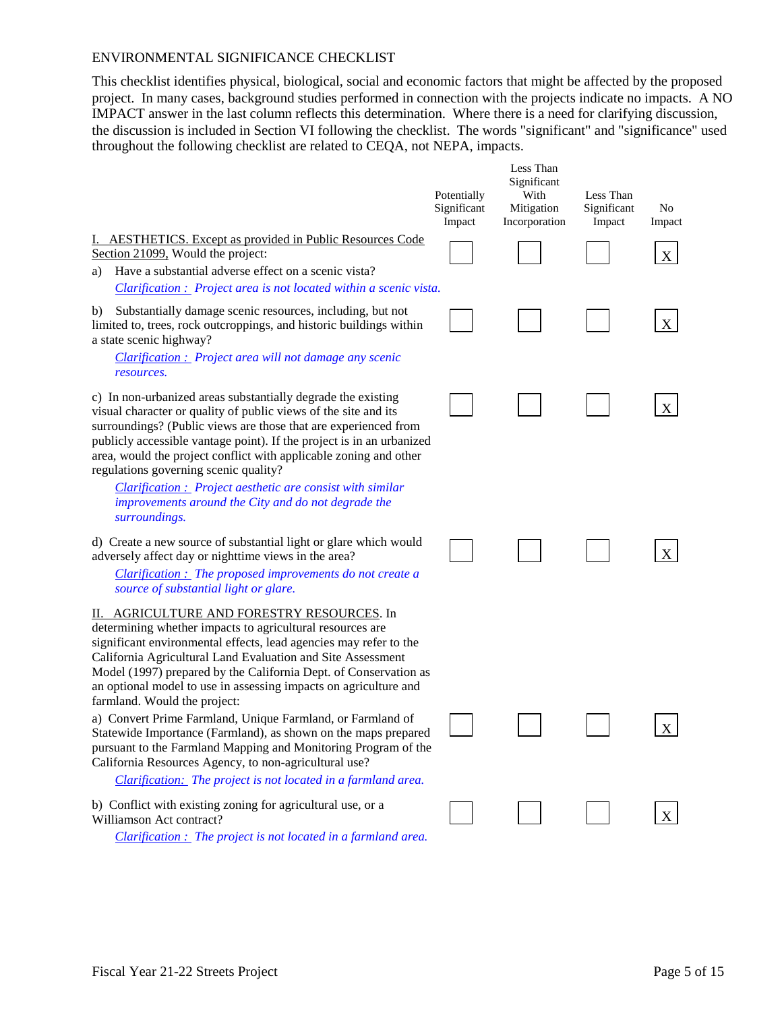#### ENVIRONMENTAL SIGNIFICANCE CHECKLIST

This checklist identifies physical, biological, social and economic factors that might be affected by the proposed project. In many cases, background studies performed in connection with the projects indicate no impacts. A NO IMPACT answer in the last column reflects this determination. Where there is a need for clarifying discussion, the discussion is included in Section VI following the checklist. The words "significant" and "significance" used throughout the following checklist are related to CEQA, not NEPA, impacts.

|                                                                                                                                                                                                                                                                                                                                                                                                                     | Potentially<br>Significant<br>Impact | Less Than<br>Significant<br>With<br>Mitigation<br>Incorporation | Less Than<br>Significant<br>Impact | No<br>Impact |
|---------------------------------------------------------------------------------------------------------------------------------------------------------------------------------------------------------------------------------------------------------------------------------------------------------------------------------------------------------------------------------------------------------------------|--------------------------------------|-----------------------------------------------------------------|------------------------------------|--------------|
| I. AESTHETICS. Except as provided in Public Resources Code<br>Section 21099, Would the project:                                                                                                                                                                                                                                                                                                                     |                                      |                                                                 |                                    | X            |
| Have a substantial adverse effect on a scenic vista?<br>a)                                                                                                                                                                                                                                                                                                                                                          |                                      |                                                                 |                                    |              |
| Clarification : Project area is not located within a scenic vista.                                                                                                                                                                                                                                                                                                                                                  |                                      |                                                                 |                                    |              |
| Substantially damage scenic resources, including, but not<br>b)<br>limited to, trees, rock outcroppings, and historic buildings within<br>a state scenic highway?                                                                                                                                                                                                                                                   |                                      |                                                                 |                                    | X            |
| Clarification : Project area will not damage any scenic<br>resources.                                                                                                                                                                                                                                                                                                                                               |                                      |                                                                 |                                    |              |
| c) In non-urbanized areas substantially degrade the existing<br>visual character or quality of public views of the site and its<br>surroundings? (Public views are those that are experienced from<br>publicly accessible vantage point). If the project is in an urbanized<br>area, would the project conflict with applicable zoning and other<br>regulations governing scenic quality?                           |                                      |                                                                 |                                    | X            |
| Clarification : Project aesthetic are consist with similar<br>improvements around the City and do not degrade the<br>surroundings.                                                                                                                                                                                                                                                                                  |                                      |                                                                 |                                    |              |
| d) Create a new source of substantial light or glare which would<br>adversely affect day or nighttime views in the area?                                                                                                                                                                                                                                                                                            |                                      |                                                                 |                                    | X            |
| Clarification : The proposed improvements do not create a<br>source of substantial light or glare.                                                                                                                                                                                                                                                                                                                  |                                      |                                                                 |                                    |              |
| II. AGRICULTURE AND FORESTRY RESOURCES. In<br>determining whether impacts to agricultural resources are<br>significant environmental effects, lead agencies may refer to the<br>California Agricultural Land Evaluation and Site Assessment<br>Model (1997) prepared by the California Dept. of Conservation as<br>an optional model to use in assessing impacts on agriculture and<br>farmland. Would the project: |                                      |                                                                 |                                    |              |
| a) Convert Prime Farmland, Unique Farmland, or Farmland of<br>Statewide Importance (Farmland), as shown on the maps prepared<br>pursuant to the Farmland Mapping and Monitoring Program of the<br>California Resources Agency, to non-agricultural use?<br>Clarification: The project is not located in a farmland area.                                                                                            |                                      |                                                                 |                                    | X            |
| b) Conflict with existing zoning for agricultural use, or a<br>Williamson Act contract?<br><i>Clarification : The project is not located in a farmland area.</i>                                                                                                                                                                                                                                                    |                                      |                                                                 |                                    | X            |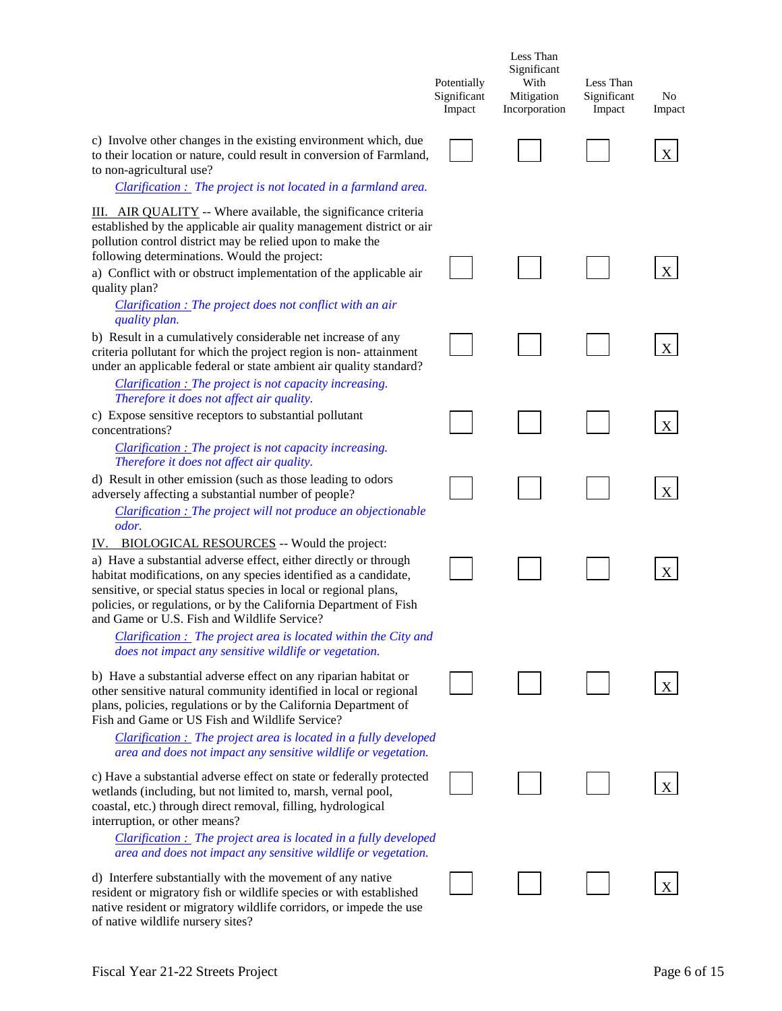|                                                                                                                                                                                                                                                                                                                                                                                                                                                                          | Potentially<br>Significant<br>Impact | Less Than<br>Significant<br>With<br>Mitigation<br>Incorporation | Less Than<br>Significant<br>Impact | N <sub>o</sub><br>Impact |
|--------------------------------------------------------------------------------------------------------------------------------------------------------------------------------------------------------------------------------------------------------------------------------------------------------------------------------------------------------------------------------------------------------------------------------------------------------------------------|--------------------------------------|-----------------------------------------------------------------|------------------------------------|--------------------------|
| c) Involve other changes in the existing environment which, due<br>to their location or nature, could result in conversion of Farmland,<br>to non-agricultural use?                                                                                                                                                                                                                                                                                                      |                                      |                                                                 |                                    | X                        |
| Clarification : The project is not located in a farmland area.<br>III. AIR QUALITY -- Where available, the significance criteria<br>established by the applicable air quality management district or air<br>pollution control district may be relied upon to make the<br>following determinations. Would the project:<br>a) Conflict with or obstruct implementation of the applicable air<br>quality plan?<br>Clarification : The project does not conflict with an air |                                      |                                                                 |                                    | X                        |
| quality plan.<br>b) Result in a cumulatively considerable net increase of any<br>criteria pollutant for which the project region is non-attainment<br>under an applicable federal or state ambient air quality standard?                                                                                                                                                                                                                                                 |                                      |                                                                 |                                    | X                        |
| Clarification : The project is not capacity increasing.<br>Therefore it does not affect air quality.<br>c) Expose sensitive receptors to substantial pollutant<br>concentrations?<br>Clarification : The project is not capacity increasing.<br>Therefore it does not affect air quality.                                                                                                                                                                                |                                      |                                                                 |                                    | X                        |
| d) Result in other emission (such as those leading to odors<br>adversely affecting a substantial number of people?<br><b>Clarification :</b> The project will not produce an objectionable                                                                                                                                                                                                                                                                               |                                      |                                                                 |                                    | X                        |
| odor.<br>IV. BIOLOGICAL RESOURCES -- Would the project:<br>a) Have a substantial adverse effect, either directly or through<br>habitat modifications, on any species identified as a candidate,<br>sensitive, or special status species in local or regional plans,<br>policies, or regulations, or by the California Department of Fish<br>and Game or U.S. Fish and Wildlife Service?                                                                                  |                                      |                                                                 |                                    |                          |
| <b>Clarification :</b> The project area is located within the City and<br>does not impact any sensitive wildlife or vegetation.<br>b) Have a substantial adverse effect on any riparian habitat or<br>other sensitive natural community identified in local or regional<br>plans, policies, regulations or by the California Department of<br>Fish and Game or US Fish and Wildlife Service?<br>$Clarification:$ The project area is located in a fully developed        |                                      |                                                                 |                                    |                          |
| area and does not impact any sensitive wildlife or vegetation.<br>c) Have a substantial adverse effect on state or federally protected<br>wetlands (including, but not limited to, marsh, vernal pool,<br>coastal, etc.) through direct removal, filling, hydrological<br>interruption, or other means?                                                                                                                                                                  |                                      |                                                                 |                                    |                          |
| <b>Clarification :</b> The project area is located in a fully developed<br>area and does not impact any sensitive wildlife or vegetation.<br>d) Interfere substantially with the movement of any native<br>resident or migratory fish or wildlife species or with established<br>native resident or migratory wildlife corridors, or impede the use                                                                                                                      |                                      |                                                                 |                                    |                          |

of native wildlife nursery sites?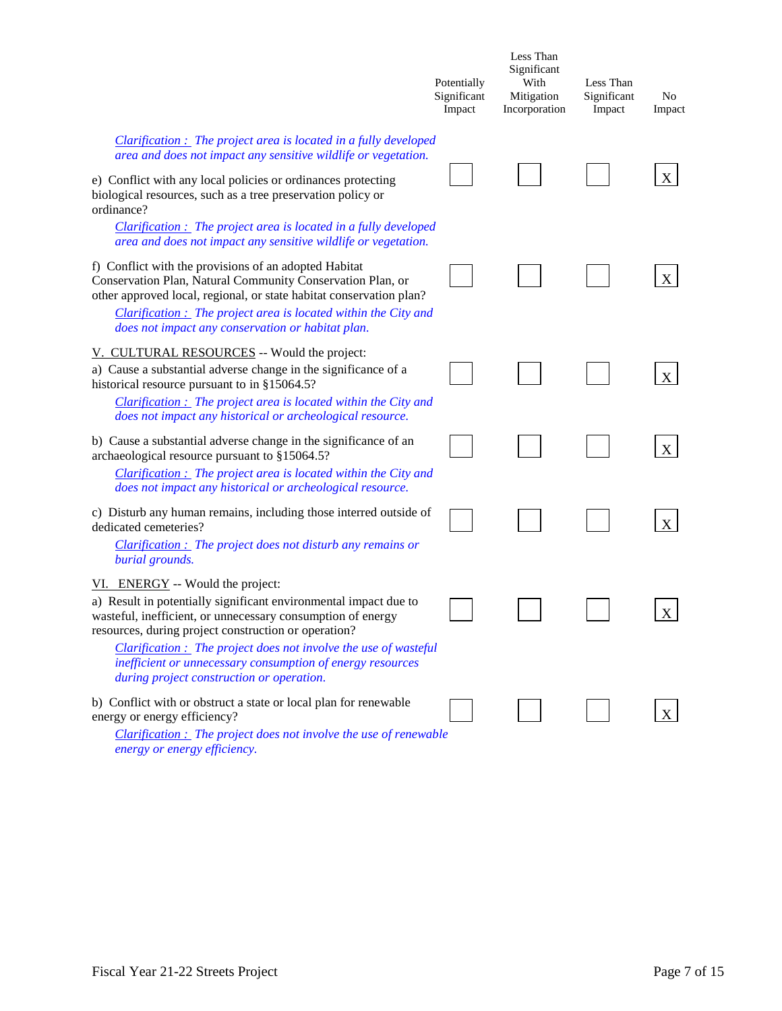|                                                                                                                                                                                                                                                                                                                           | Potentially<br>Significant<br>Impact | Less Than<br>Significant<br>With<br>Mitigation<br>Incorporation | Less Than<br>Significant<br>Impact | No<br>Impact |
|---------------------------------------------------------------------------------------------------------------------------------------------------------------------------------------------------------------------------------------------------------------------------------------------------------------------------|--------------------------------------|-----------------------------------------------------------------|------------------------------------|--------------|
| <b>Clarification :</b> The project area is located in a fully developed<br>area and does not impact any sensitive wildlife or vegetation.                                                                                                                                                                                 |                                      |                                                                 |                                    |              |
| e) Conflict with any local policies or ordinances protecting<br>biological resources, such as a tree preservation policy or<br>ordinance?                                                                                                                                                                                 |                                      |                                                                 |                                    | X            |
| <b>Clarification :</b> The project area is located in a fully developed<br>area and does not impact any sensitive wildlife or vegetation.                                                                                                                                                                                 |                                      |                                                                 |                                    |              |
| f) Conflict with the provisions of an adopted Habitat<br>Conservation Plan, Natural Community Conservation Plan, or<br>other approved local, regional, or state habitat conservation plan?<br><b>Clarification :</b> The project area is located within the City and<br>does not impact any conservation or habitat plan. |                                      |                                                                 |                                    | X            |
| V. CULTURAL RESOURCES -- Would the project:<br>a) Cause a substantial adverse change in the significance of a<br>historical resource pursuant to in $§15064.5?$<br>Clarification : The project area is located within the City and<br>does not impact any historical or archeological resource.                           |                                      |                                                                 |                                    | X            |
| b) Cause a substantial adverse change in the significance of an<br>archaeological resource pursuant to §15064.5?<br>Clarification : The project area is located within the City and<br>does not impact any historical or archeological resource.                                                                          |                                      |                                                                 |                                    | X            |
| c) Disturb any human remains, including those interred outside of<br>dedicated cemeteries?<br>$Clarification:$ The project does not disturb any remains or                                                                                                                                                                |                                      |                                                                 |                                    | X            |
| burial grounds.<br>VI. ENERGY -- Would the project:<br>a) Result in potentially significant environmental impact due to<br>wasteful, inefficient, or unnecessary consumption of energy<br>resources, during project construction or operation?<br>Clarification : The project does not involve the use of wasteful        |                                      |                                                                 |                                    | $\mathbf X$  |
| inefficient or unnecessary consumption of energy resources<br>during project construction or operation.                                                                                                                                                                                                                   |                                      |                                                                 |                                    |              |
| b) Conflict with or obstruct a state or local plan for renewable<br>energy or energy efficiency?<br>$Clarification:$ The project does not involve the use of renewable<br>rov or enerov efficiency                                                                                                                        |                                      |                                                                 |                                    | X            |

*energy or energy efficiency.*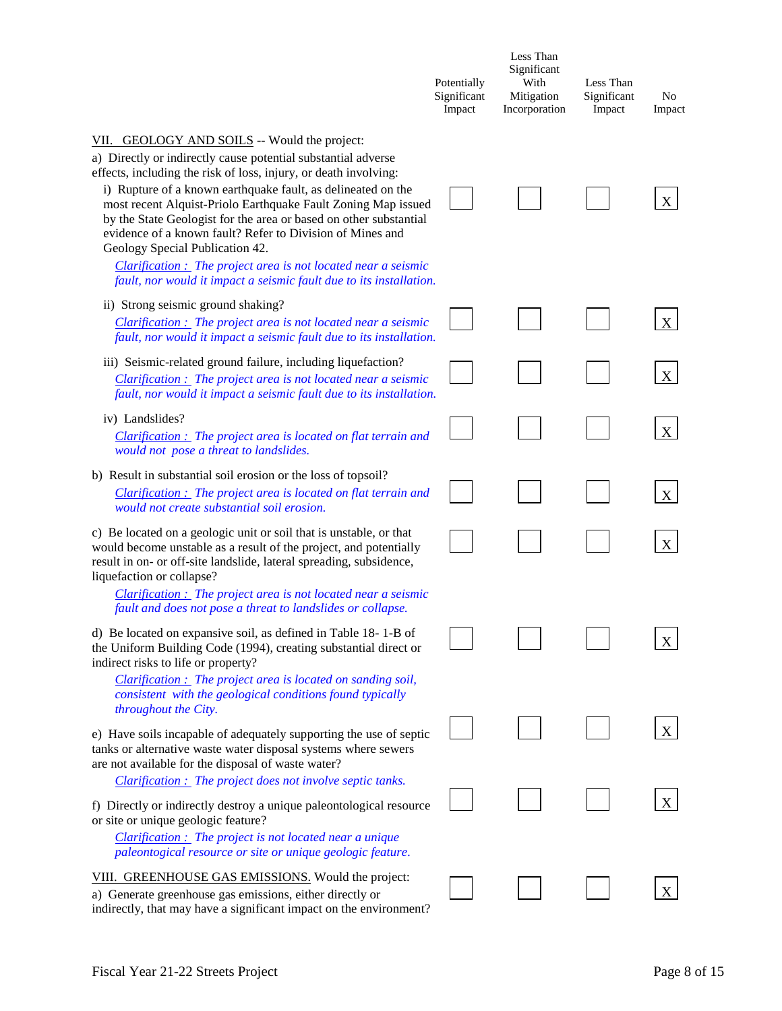|                                                                                                                                                                                                                                                                                                                                                                                                                                                                                                                                                                                                                                   | Potentially<br>Significant<br>Impact | Less Than<br>Significant<br>With<br>Mitigation<br>Incorporation | Less Than<br>Significant<br>Impact | No<br>Impact |
|-----------------------------------------------------------------------------------------------------------------------------------------------------------------------------------------------------------------------------------------------------------------------------------------------------------------------------------------------------------------------------------------------------------------------------------------------------------------------------------------------------------------------------------------------------------------------------------------------------------------------------------|--------------------------------------|-----------------------------------------------------------------|------------------------------------|--------------|
| VII. GEOLOGY AND SOILS -- Would the project:<br>a) Directly or indirectly cause potential substantial adverse<br>effects, including the risk of loss, injury, or death involving:<br>i) Rupture of a known earthquake fault, as delineated on the<br>most recent Alquist-Priolo Earthquake Fault Zoning Map issued<br>by the State Geologist for the area or based on other substantial<br>evidence of a known fault? Refer to Division of Mines and<br>Geology Special Publication 42.<br>$Clarification:$ The project area is not located near a seismic<br>fault, nor would it impact a seismic fault due to its installation. |                                      |                                                                 |                                    |              |
| ii) Strong seismic ground shaking?<br>$Clarification:$ The project area is not located near a seismic<br>fault, nor would it impact a seismic fault due to its installation.                                                                                                                                                                                                                                                                                                                                                                                                                                                      |                                      |                                                                 |                                    | X            |
| iii) Seismic-related ground failure, including liquefaction?<br>Clarification : The project area is not located near a seismic<br>fault, nor would it impact a seismic fault due to its installation.                                                                                                                                                                                                                                                                                                                                                                                                                             |                                      |                                                                 |                                    | X            |
| iv) Landslides?<br>Clarification : The project area is located on flat terrain and<br>would not pose a threat to landslides.                                                                                                                                                                                                                                                                                                                                                                                                                                                                                                      |                                      |                                                                 |                                    | X            |
| b) Result in substantial soil erosion or the loss of topsoil?<br>$Clarification:$ The project area is located on flat terrain and<br>would not create substantial soil erosion.                                                                                                                                                                                                                                                                                                                                                                                                                                                   |                                      |                                                                 |                                    | X            |
| c) Be located on a geologic unit or soil that is unstable, or that<br>would become unstable as a result of the project, and potentially<br>result in on- or off-site landslide, lateral spreading, subsidence,<br>liquefaction or collapse?<br>Clarification : The project area is not located near a seismic<br>fault and does not pose a threat to landslides or collapse.                                                                                                                                                                                                                                                      |                                      |                                                                 |                                    | X            |
| d) Be located on expansive soil, as defined in Table 18-1-B of<br>the Uniform Building Code (1994), creating substantial direct or<br>indirect risks to life or property?<br>Clarification : The project area is located on sanding soil,<br>consistent with the geological conditions found typically                                                                                                                                                                                                                                                                                                                            |                                      |                                                                 |                                    |              |
| throughout the City.<br>e) Have soils incapable of adequately supporting the use of septic<br>tanks or alternative waste water disposal systems where sewers<br>are not available for the disposal of waste water?<br>Clarification : The project does not involve septic tanks.                                                                                                                                                                                                                                                                                                                                                  |                                      |                                                                 |                                    |              |
| f) Directly or indirectly destroy a unique paleontological resource<br>or site or unique geologic feature?<br>$Clarification:$ The project is not located near a unique<br>paleontogical resource or site or unique geologic feature.                                                                                                                                                                                                                                                                                                                                                                                             |                                      |                                                                 |                                    |              |
| VIII. GREENHOUSE GAS EMISSIONS. Would the project:<br>a) Generate greenhouse gas emissions, either directly or<br>indirectly, that may have a significant impact on the environment?                                                                                                                                                                                                                                                                                                                                                                                                                                              |                                      |                                                                 |                                    |              |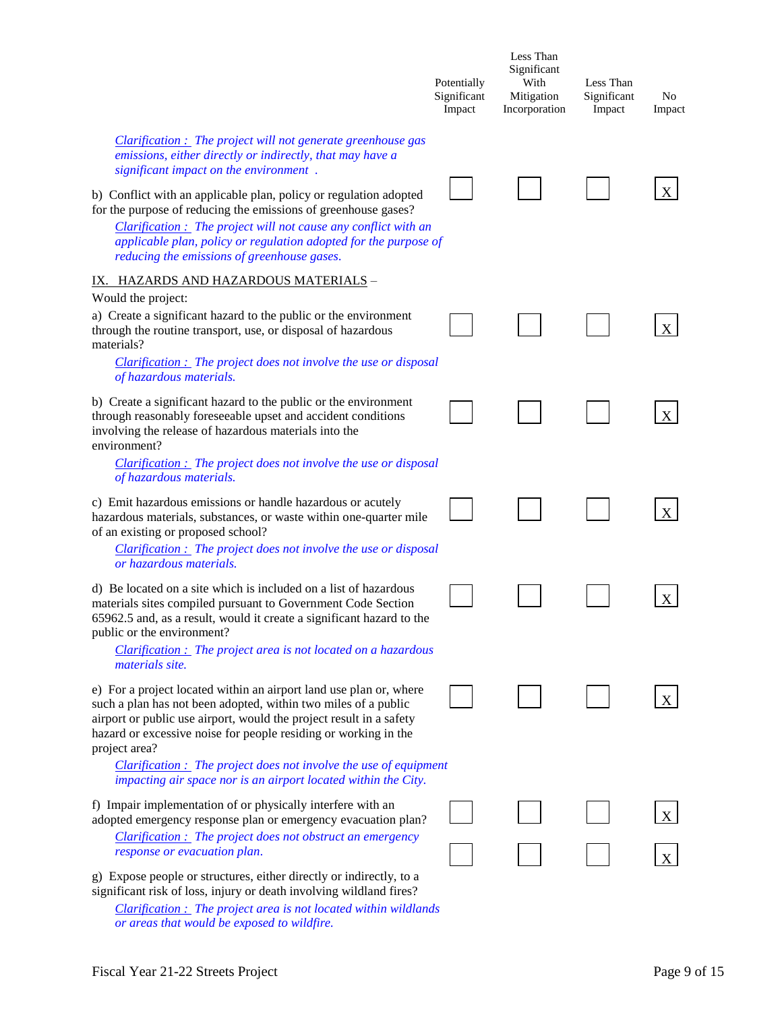|                                                                                                                                                                                                                                                                                                                                                                                                                                                                                                   | Potentially<br>Significant<br>Impact | Less Than<br>Significant<br>With<br>Mitigation<br>Incorporation | Less Than<br>Significant<br>Impact | No<br>Impact |
|---------------------------------------------------------------------------------------------------------------------------------------------------------------------------------------------------------------------------------------------------------------------------------------------------------------------------------------------------------------------------------------------------------------------------------------------------------------------------------------------------|--------------------------------------|-----------------------------------------------------------------|------------------------------------|--------------|
| $Clarification:$ The project will not generate greenhouse gas<br>emissions, either directly or indirectly, that may have a<br>significant impact on the environment.<br>b) Conflict with an applicable plan, policy or regulation adopted<br>for the purpose of reducing the emissions of greenhouse gases?<br>Clarification : The project will not cause any conflict with an<br>applicable plan, policy or regulation adopted for the purpose of<br>reducing the emissions of greenhouse gases. |                                      |                                                                 |                                    | X            |
| <u>IX. HAZARDS AND HAZARDOUS MATERIALS</u> -                                                                                                                                                                                                                                                                                                                                                                                                                                                      |                                      |                                                                 |                                    |              |
| Would the project:<br>a) Create a significant hazard to the public or the environment<br>through the routine transport, use, or disposal of hazardous<br>materials?<br><b>Clarification :</b> The project does not involve the use or disposal                                                                                                                                                                                                                                                    |                                      |                                                                 |                                    | X            |
| of hazardous materials.                                                                                                                                                                                                                                                                                                                                                                                                                                                                           |                                      |                                                                 |                                    |              |
| b) Create a significant hazard to the public or the environment<br>through reasonably foreseeable upset and accident conditions<br>involving the release of hazardous materials into the<br>environment?                                                                                                                                                                                                                                                                                          |                                      |                                                                 |                                    | X            |
| <b>Clarification :</b> The project does not involve the use or disposal<br>of hazardous materials.                                                                                                                                                                                                                                                                                                                                                                                                |                                      |                                                                 |                                    |              |
| c) Emit hazardous emissions or handle hazardous or acutely<br>hazardous materials, substances, or waste within one-quarter mile<br>of an existing or proposed school?                                                                                                                                                                                                                                                                                                                             |                                      |                                                                 |                                    | X            |
| <b>Clarification :</b> The project does not involve the use or disposal<br>or hazardous materials.                                                                                                                                                                                                                                                                                                                                                                                                |                                      |                                                                 |                                    |              |
| d) Be located on a site which is included on a list of hazardous<br>materials sites compiled pursuant to Government Code Section<br>65962.5 and, as a result, would it create a significant hazard to the<br>public or the environment?<br>Clarification : The project area is not located on a hazardous<br><i>materials site.</i>                                                                                                                                                               |                                      |                                                                 |                                    | X            |
| e) For a project located within an airport land use plan or, where<br>such a plan has not been adopted, within two miles of a public<br>airport or public use airport, would the project result in a safety<br>hazard or excessive noise for people residing or working in the<br>project area?                                                                                                                                                                                                   |                                      |                                                                 |                                    |              |
| $Clarification:$ The project does not involve the use of equipment<br>impacting air space nor is an airport located within the City.                                                                                                                                                                                                                                                                                                                                                              |                                      |                                                                 |                                    |              |
| f) Impair implementation of or physically interfere with an<br>adopted emergency response plan or emergency evacuation plan?                                                                                                                                                                                                                                                                                                                                                                      |                                      |                                                                 |                                    |              |
| Clarification : The project does not obstruct an emergency<br>response or evacuation plan.                                                                                                                                                                                                                                                                                                                                                                                                        |                                      |                                                                 |                                    |              |
| g) Expose people or structures, either directly or indirectly, to a<br>significant risk of loss, injury or death involving wildland fires?<br><b>Clarification :</b> The project area is not located within wildlands                                                                                                                                                                                                                                                                             |                                      |                                                                 |                                    |              |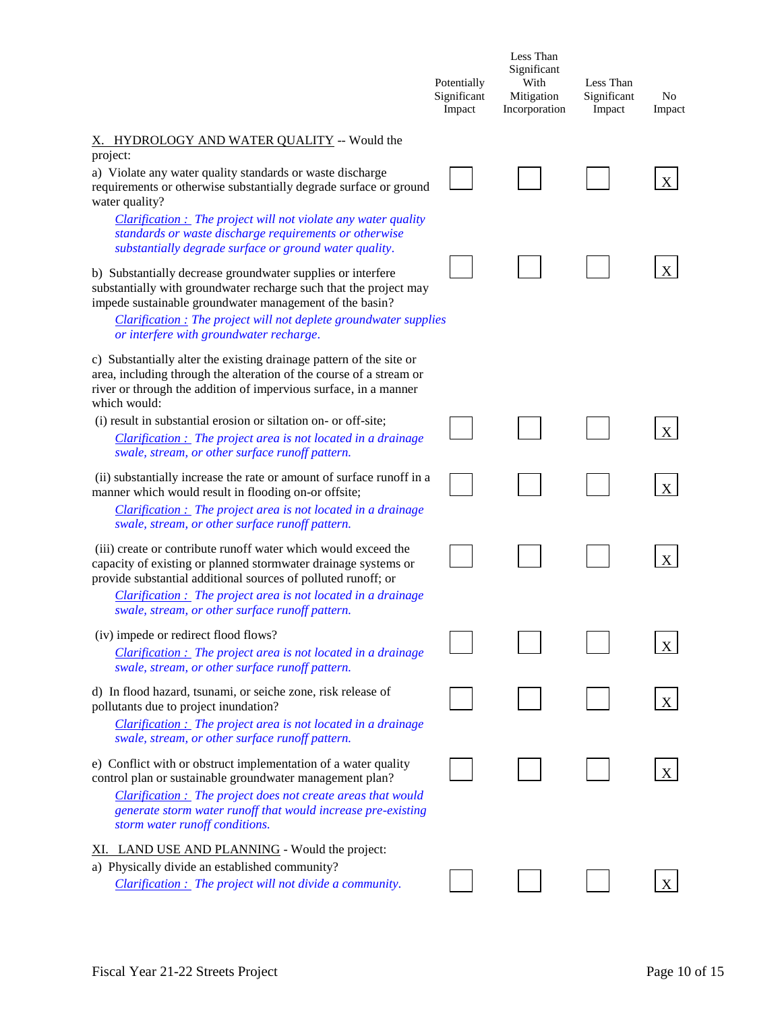|                                                                                                                                                                                                                                                                                                                    | Potentially<br>Significant<br>Impact | Less Than<br>Significant<br>With<br>Mitigation<br>Incorporation | Less Than<br>Significant<br>Impact | N <sub>0</sub><br>Impact |
|--------------------------------------------------------------------------------------------------------------------------------------------------------------------------------------------------------------------------------------------------------------------------------------------------------------------|--------------------------------------|-----------------------------------------------------------------|------------------------------------|--------------------------|
| X. HYDROLOGY AND WATER QUALITY -- Would the<br>project:                                                                                                                                                                                                                                                            |                                      |                                                                 |                                    |                          |
| a) Violate any water quality standards or waste discharge<br>requirements or otherwise substantially degrade surface or ground<br>water quality?                                                                                                                                                                   |                                      |                                                                 |                                    | X                        |
| $Clarification:$ The project will not violate any water quality<br>standards or waste discharge requirements or otherwise<br>substantially degrade surface or ground water quality.                                                                                                                                |                                      |                                                                 |                                    |                          |
| b) Substantially decrease groundwater supplies or interfere<br>substantially with groundwater recharge such that the project may<br>impede sustainable groundwater management of the basin?<br><b>Clarification</b> : The project will not deplete groundwater supplies<br>or interfere with groundwater recharge. |                                      |                                                                 |                                    | Χ                        |
| c) Substantially alter the existing drainage pattern of the site or<br>area, including through the alteration of the course of a stream or<br>river or through the addition of impervious surface, in a manner<br>which would:                                                                                     |                                      |                                                                 |                                    |                          |
| (i) result in substantial erosion or siltation on- or off-site;<br><b>Clarification :</b> The project area is not located in a drainage<br>swale, stream, or other surface runoff pattern.                                                                                                                         |                                      |                                                                 |                                    | X                        |
| (ii) substantially increase the rate or amount of surface runoff in a<br>manner which would result in flooding on-or offsite;<br>$Clarification:$ The project area is not located in a drainage<br>swale, stream, or other surface runoff pattern.                                                                 |                                      |                                                                 |                                    | X                        |
| (iii) create or contribute runoff water which would exceed the<br>capacity of existing or planned stormwater drainage systems or<br>provide substantial additional sources of polluted runoff; or                                                                                                                  |                                      |                                                                 |                                    | Χ                        |
| Clarification : The project area is not located in a drainage<br>swale, stream, or other surface runoff pattern.                                                                                                                                                                                                   |                                      |                                                                 |                                    |                          |
| (iv) impede or redirect flood flows?<br>Clarification : The project area is not located in a drainage<br>swale, stream, or other surface runoff pattern.                                                                                                                                                           |                                      |                                                                 |                                    |                          |
| d) In flood hazard, tsunami, or seiche zone, risk release of<br>pollutants due to project inundation?<br>Clarification : The project area is not located in a drainage<br>swale, stream, or other surface runoff pattern.                                                                                          |                                      |                                                                 |                                    |                          |
| e) Conflict with or obstruct implementation of a water quality<br>control plan or sustainable groundwater management plan?<br>Clarification: The project does not create areas that would<br>generate storm water runoff that would increase pre-existing<br>storm water runoff conditions.                        |                                      |                                                                 |                                    |                          |
| XI. LAND USE AND PLANNING - Would the project:<br>a) Physically divide an established community?<br>Clarification : The project will not divide a community.                                                                                                                                                       |                                      |                                                                 |                                    |                          |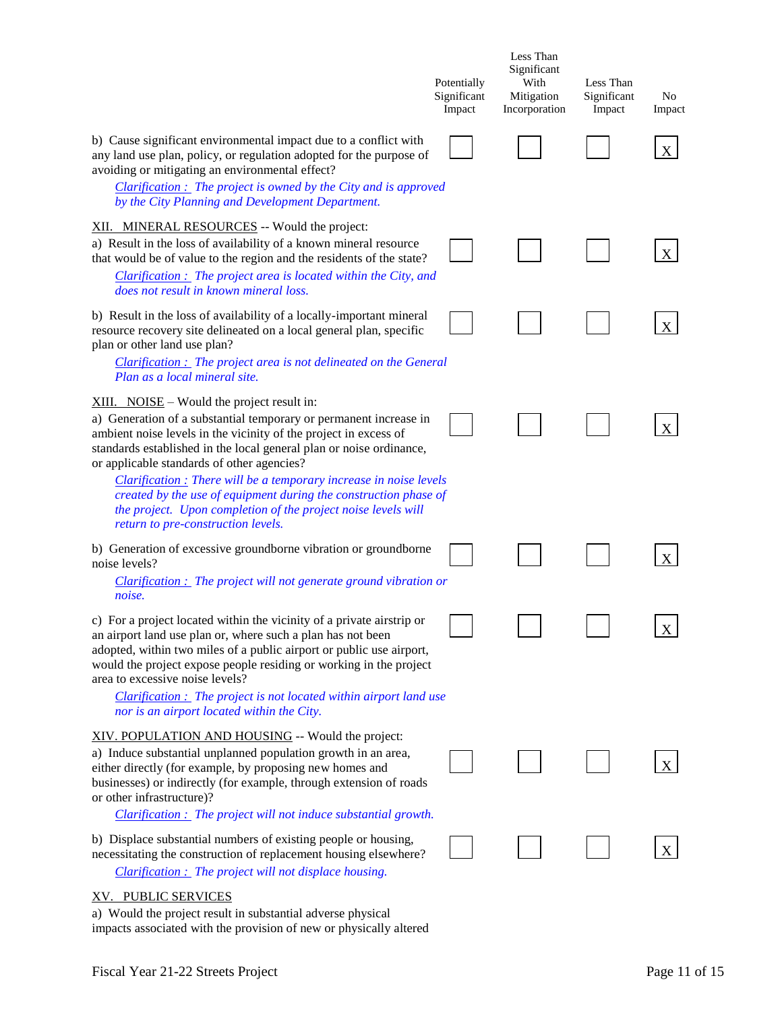|                                                                                                                                                                                                                                                                                                                                                                                                                                                                                                                                                             | Potentially<br>Significant<br>Impact | Less Than<br>Significant<br>With<br>Mitigation<br>Incorporation | Less Than<br>Significant<br>Impact | No<br>Impact |
|-------------------------------------------------------------------------------------------------------------------------------------------------------------------------------------------------------------------------------------------------------------------------------------------------------------------------------------------------------------------------------------------------------------------------------------------------------------------------------------------------------------------------------------------------------------|--------------------------------------|-----------------------------------------------------------------|------------------------------------|--------------|
| b) Cause significant environmental impact due to a conflict with<br>any land use plan, policy, or regulation adopted for the purpose of<br>avoiding or mitigating an environmental effect?<br>$Clarification:$ The project is owned by the City and is approved<br>by the City Planning and Development Department.                                                                                                                                                                                                                                         |                                      |                                                                 |                                    |              |
| XII. MINERAL RESOURCES -- Would the project:<br>a) Result in the loss of availability of a known mineral resource<br>that would be of value to the region and the residents of the state?<br>Clarification : The project area is located within the City, and<br>does not result in known mineral loss.                                                                                                                                                                                                                                                     |                                      |                                                                 |                                    | X            |
| b) Result in the loss of availability of a locally-important mineral<br>resource recovery site delineated on a local general plan, specific<br>plan or other land use plan?<br><b>Clarification :</b> The project area is not delineated on the General<br>Plan as a local mineral site.                                                                                                                                                                                                                                                                    |                                      |                                                                 |                                    | X            |
| $XIII.$ NOISE – Would the project result in:<br>a) Generation of a substantial temporary or permanent increase in<br>ambient noise levels in the vicinity of the project in excess of<br>standards established in the local general plan or noise ordinance,<br>or applicable standards of other agencies?<br>Clarification : There will be a temporary increase in noise levels<br>created by the use of equipment during the construction phase of<br>the project. Upon completion of the project noise levels will<br>return to pre-construction levels. |                                      |                                                                 |                                    | X            |
| b) Generation of excessive groundborne vibration or groundborne<br>noise levels?<br>$Clarification:$ The project will not generate ground vibration or                                                                                                                                                                                                                                                                                                                                                                                                      |                                      |                                                                 |                                    | X            |
| noise.<br>c) For a project located within the vicinity of a private airstrip or<br>an airport land use plan or, where such a plan has not been<br>adopted, within two miles of a public airport or public use airport,<br>would the project expose people residing or working in the project<br>area to excessive noise levels?<br>$Clarification:$ The project is not located within airport land use<br>nor is an airport located within the City.                                                                                                        |                                      |                                                                 |                                    | X            |
| XIV. POPULATION AND HOUSING -- Would the project:<br>a) Induce substantial unplanned population growth in an area,<br>either directly (for example, by proposing new homes and<br>businesses) or indirectly (for example, through extension of roads<br>or other infrastructure)?<br><b>Clarification :</b> The project will not induce substantial growth.                                                                                                                                                                                                 |                                      |                                                                 |                                    |              |
| b) Displace substantial numbers of existing people or housing,<br>necessitating the construction of replacement housing elsewhere?<br>Clarification : The project will not displace housing.                                                                                                                                                                                                                                                                                                                                                                |                                      |                                                                 |                                    | X            |
| XV. PUBLIC SERVICES<br>a) Would the project result in substantial adverse physical<br>impacts associated with the provision of new or physically altered                                                                                                                                                                                                                                                                                                                                                                                                    |                                      |                                                                 |                                    |              |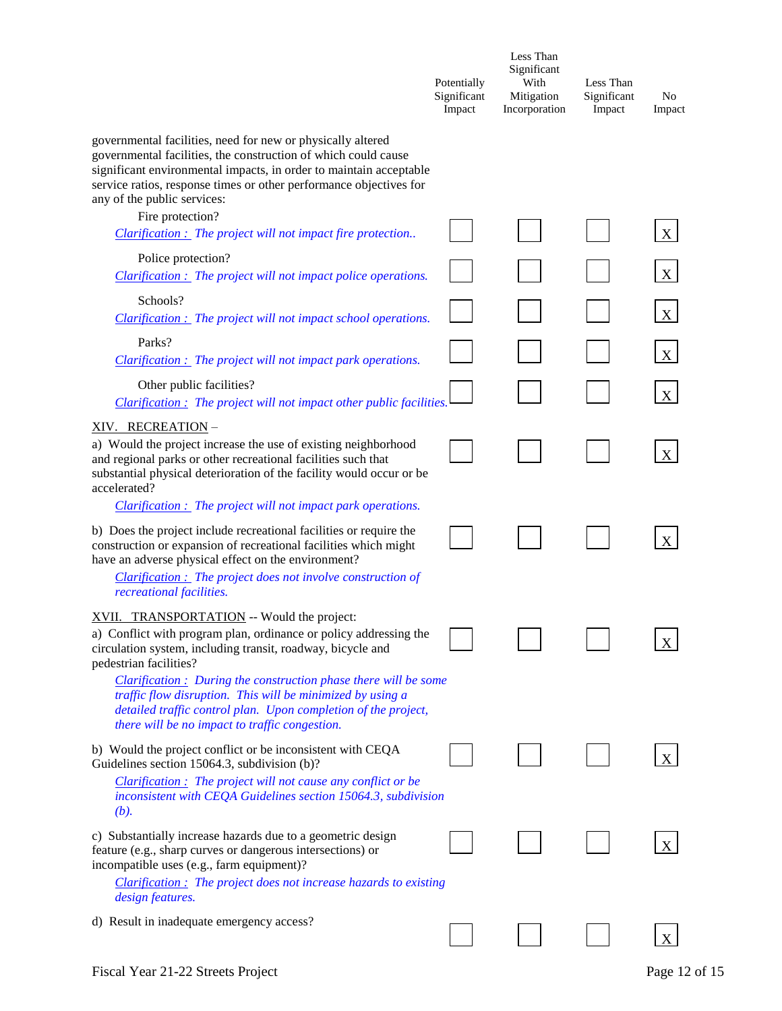|                                                                                                                                                                                                                                                                                                                                                                                                                                                                 | Potentially<br>Significant<br>Impact | Less Than<br>Significant<br>With<br>Mitigation<br>Incorporation | Less Than<br>Significant<br>Impact | No<br>Impact |
|-----------------------------------------------------------------------------------------------------------------------------------------------------------------------------------------------------------------------------------------------------------------------------------------------------------------------------------------------------------------------------------------------------------------------------------------------------------------|--------------------------------------|-----------------------------------------------------------------|------------------------------------|--------------|
| governmental facilities, need for new or physically altered<br>governmental facilities, the construction of which could cause<br>significant environmental impacts, in order to maintain acceptable<br>service ratios, response times or other performance objectives for<br>any of the public services:                                                                                                                                                        |                                      |                                                                 |                                    |              |
| Fire protection?<br>Clarification : The project will not impact fire protection                                                                                                                                                                                                                                                                                                                                                                                 |                                      |                                                                 |                                    | X            |
| Police protection?<br><b>Clarification :</b> The project will not impact police operations.                                                                                                                                                                                                                                                                                                                                                                     |                                      |                                                                 |                                    | X            |
| Schools?<br><b>Clarification :</b> The project will not impact school operations.                                                                                                                                                                                                                                                                                                                                                                               |                                      |                                                                 |                                    | X            |
| Parks?<br><b>Clarification :</b> The project will not impact park operations.                                                                                                                                                                                                                                                                                                                                                                                   |                                      |                                                                 |                                    | X            |
| Other public facilities?<br>Clarification: The project will not impact other public facilities.                                                                                                                                                                                                                                                                                                                                                                 |                                      |                                                                 |                                    | X            |
| XIV. RECREATION-<br>a) Would the project increase the use of existing neighborhood<br>and regional parks or other recreational facilities such that<br>substantial physical deterioration of the facility would occur or be<br>accelerated?                                                                                                                                                                                                                     |                                      |                                                                 |                                    | $\mathbf X$  |
| <b>Clarification :</b> The project will not impact park operations.<br>b) Does the project include recreational facilities or require the<br>construction or expansion of recreational facilities which might<br>have an adverse physical effect on the environment?<br>Clarification : The project does not involve construction of<br>recreational facilities.                                                                                                |                                      |                                                                 |                                    | X            |
| XVII. TRANSPORTATION -- Would the project:<br>a) Conflict with program plan, ordinance or policy addressing the<br>circulation system, including transit, roadway, bicycle and<br>pedestrian facilities?<br>$Clarification:$ During the construction phase there will be some<br>traffic flow disruption. This will be minimized by using a<br>detailed traffic control plan. Upon completion of the project,<br>there will be no impact to traffic congestion. |                                      |                                                                 |                                    |              |
| b) Would the project conflict or be inconsistent with CEQA<br>Guidelines section 15064.3, subdivision (b)?                                                                                                                                                                                                                                                                                                                                                      |                                      |                                                                 |                                    |              |
| Clarification : The project will not cause any conflict or be<br>inconsistent with CEQA Guidelines section 15064.3, subdivision<br>(b).                                                                                                                                                                                                                                                                                                                         |                                      |                                                                 |                                    |              |
| c) Substantially increase hazards due to a geometric design<br>feature (e.g., sharp curves or dangerous intersections) or<br>incompatible uses (e.g., farm equipment)?<br><b>Clarification</b> : The project does not increase hazards to existing                                                                                                                                                                                                              |                                      |                                                                 |                                    |              |
| design features.                                                                                                                                                                                                                                                                                                                                                                                                                                                |                                      |                                                                 |                                    |              |
| d) Result in inadequate emergency access?                                                                                                                                                                                                                                                                                                                                                                                                                       |                                      |                                                                 |                                    |              |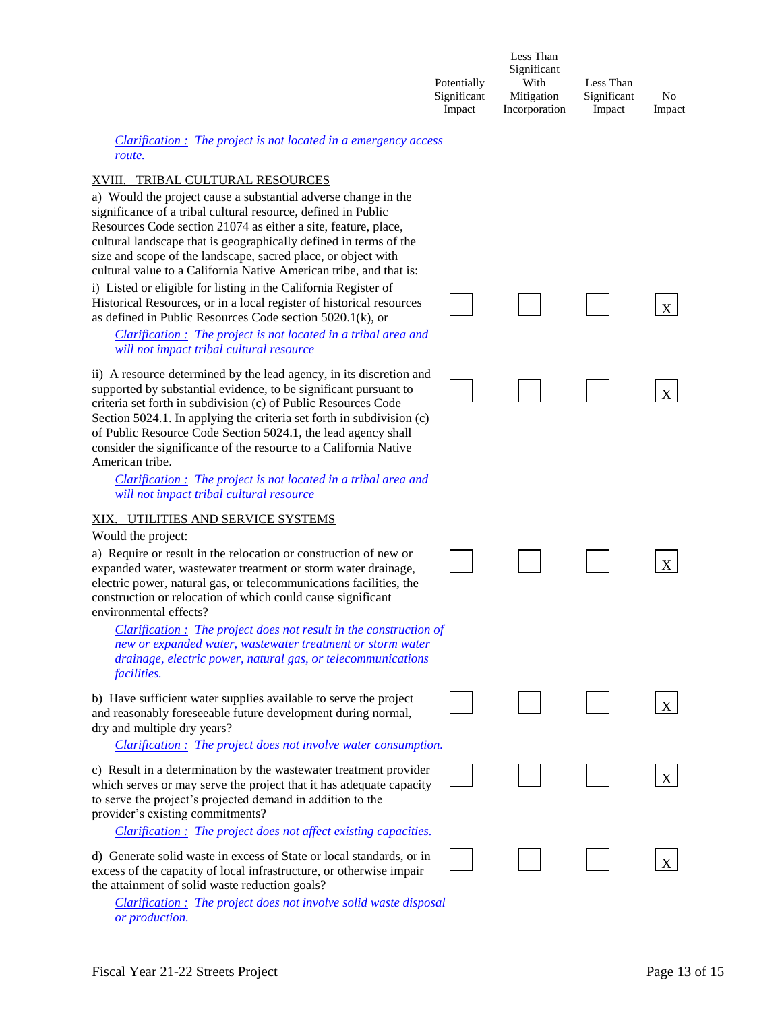|             | Less Than     |             |        |
|-------------|---------------|-------------|--------|
|             | Significant   |             |        |
| Potentially | With          | Less Than   |        |
| Significant | Mitigation    | Significant | No     |
| Impact      | Incorporation | Impact      | Impact |

#### *Clarification : The project is not located in a emergency access route.*

#### XVIII. TRIBAL CULTURAL RESOURCES –

a) Would the project cause a substantial adverse change in the significance of a tribal cultural resource, defined in Public Resources Code section 21074 as either a site, feature, place, cultural landscape that is geographically defined in terms of the size and scope of the landscape, sacred place, or object with cultural value to a California Native American tribe, and that is: i) Listed or eligible for listing in the California Register of Historical Resources, or in a local register of historical resources as defined in Public Resources Code section 5020.1(k), or

*Clarification : The project is not located in a tribal area and will not impact tribal cultural resource*

ii) A resource determined by the lead agency, in its discretion and supported by substantial evidence, to be significant pursuant to criteria set forth in subdivision (c) of Public Resources Code Section 5024.1. In applying the criteria set forth in subdivision (c) of Public Resource Code Section 5024.1, the lead agency shall consider the significance of the resource to a California Native American tribe.

*Clarification : The project is not located in a tribal area and will not impact tribal cultural resource*

#### XIX. UTILITIES AND SERVICE SYSTEMS –

#### Would the project:

a) Require or result in the relocation or construction of new or expanded water, wastewater treatment or storm water drainage, electric power, natural gas, or telecommunications facilities, the construction or relocation of which could cause significant environmental effects?

*Clarification : The project does not result in the construction of new or expanded water, wastewater treatment or storm water drainage, electric power, natural gas, or telecommunications facilities.*

b) Have sufficient water supplies available to serve the project and reasonably foreseeable future development during normal, dry and multiple dry years?

*Clarification : The project does not involve water consumption.*

c) Result in a determination by the wastewater treatment provider which serves or may serve the project that it has adequate capacity to serve the project's projected demand in addition to the provider's existing commitments?

*Clarification : The project does not affect existing capacities.*

d) Generate solid waste in excess of State or local standards, or in excess of the capacity of local infrastructure, or otherwise impair the attainment of solid waste reduction goals?

*Clarification : The project does not involve solid waste disposal or production.*

X

X

X

X

X

X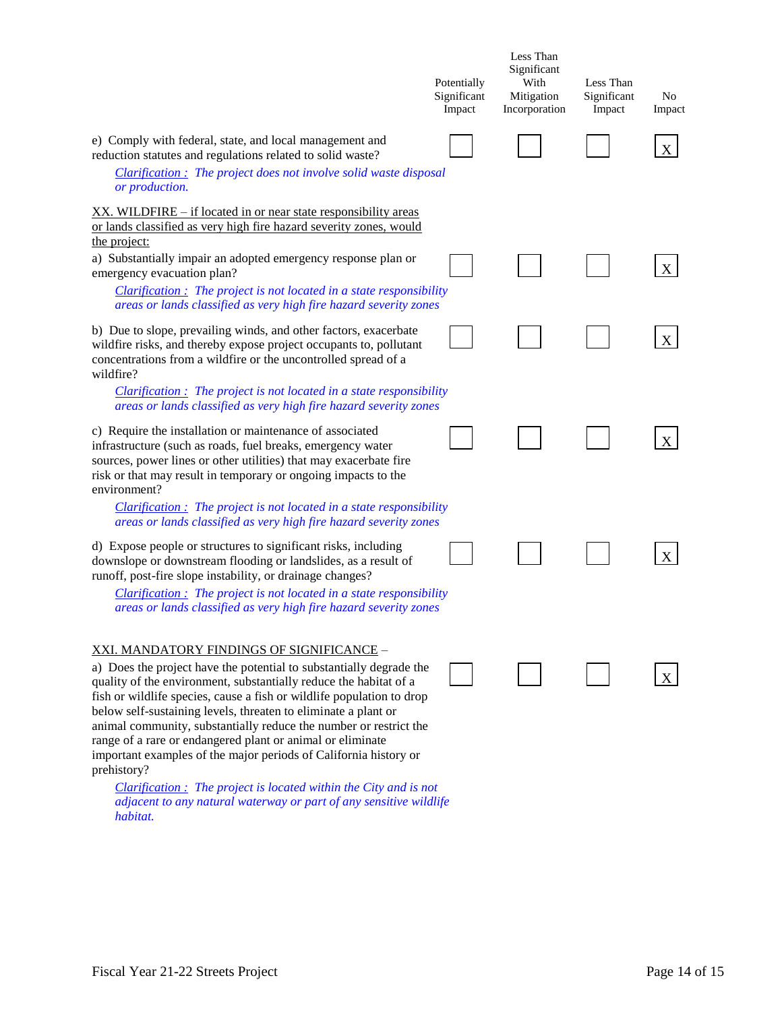|                                                                                                                                                                                                                                                                                                                                                                                                                                                                                                                                                                | Potentially<br>Significant<br>Impact | Less Than<br>Significant<br>With<br>Mitigation<br>Incorporation | Less Than<br>Significant<br>Impact | No<br>Impact |
|----------------------------------------------------------------------------------------------------------------------------------------------------------------------------------------------------------------------------------------------------------------------------------------------------------------------------------------------------------------------------------------------------------------------------------------------------------------------------------------------------------------------------------------------------------------|--------------------------------------|-----------------------------------------------------------------|------------------------------------|--------------|
| e) Comply with federal, state, and local management and<br>reduction statutes and regulations related to solid waste?<br>Clarification: The project does not involve solid waste disposal<br>or production.                                                                                                                                                                                                                                                                                                                                                    |                                      |                                                                 |                                    | X            |
| XX. WILDFIRE – if located in or near state responsibility areas<br>or lands classified as very high fire hazard severity zones, would<br>the project:                                                                                                                                                                                                                                                                                                                                                                                                          |                                      |                                                                 |                                    |              |
| a) Substantially impair an adopted emergency response plan or<br>emergency evacuation plan?<br>$Clarification:$ The project is not located in a state responsibility<br>areas or lands classified as very high fire hazard severity zones                                                                                                                                                                                                                                                                                                                      |                                      |                                                                 |                                    |              |
| b) Due to slope, prevailing winds, and other factors, exacerbate<br>wildfire risks, and thereby expose project occupants to, pollutant<br>concentrations from a wildfire or the uncontrolled spread of a<br>wildfire?                                                                                                                                                                                                                                                                                                                                          |                                      |                                                                 |                                    | X            |
| $Clarification:$ The project is not located in a state responsibility<br>areas or lands classified as very high fire hazard severity zones                                                                                                                                                                                                                                                                                                                                                                                                                     |                                      |                                                                 |                                    |              |
| c) Require the installation or maintenance of associated<br>infrastructure (such as roads, fuel breaks, emergency water<br>sources, power lines or other utilities) that may exacerbate fire<br>risk or that may result in temporary or ongoing impacts to the<br>environment?                                                                                                                                                                                                                                                                                 |                                      |                                                                 |                                    | X            |
| $Clarification:$ The project is not located in a state responsibility<br>areas or lands classified as very high fire hazard severity zones                                                                                                                                                                                                                                                                                                                                                                                                                     |                                      |                                                                 |                                    |              |
| d) Expose people or structures to significant risks, including<br>downslope or downstream flooding or landslides, as a result of<br>runoff, post-fire slope instability, or drainage changes?                                                                                                                                                                                                                                                                                                                                                                  |                                      |                                                                 |                                    |              |
| $Clarification:$ The project is not located in a state responsibility<br>areas or lands classified as very high fire hazard severity zones                                                                                                                                                                                                                                                                                                                                                                                                                     |                                      |                                                                 |                                    |              |
| <u>XXI. MANDATORY FINDINGS OF SIGNIFICANCE – </u><br>a) Does the project have the potential to substantially degrade the<br>quality of the environment, substantially reduce the habitat of a<br>fish or wildlife species, cause a fish or wildlife population to drop<br>below self-sustaining levels, threaten to eliminate a plant or<br>animal community, substantially reduce the number or restrict the<br>range of a rare or endangered plant or animal or eliminate<br>important examples of the major periods of California history or<br>prehistory? |                                      |                                                                 |                                    | X            |
| $Clarification:$ The project is located within the City and is not<br>adjacent to any natural waterway or part of any sensitive wildlife<br>habitat.                                                                                                                                                                                                                                                                                                                                                                                                           |                                      |                                                                 |                                    |              |